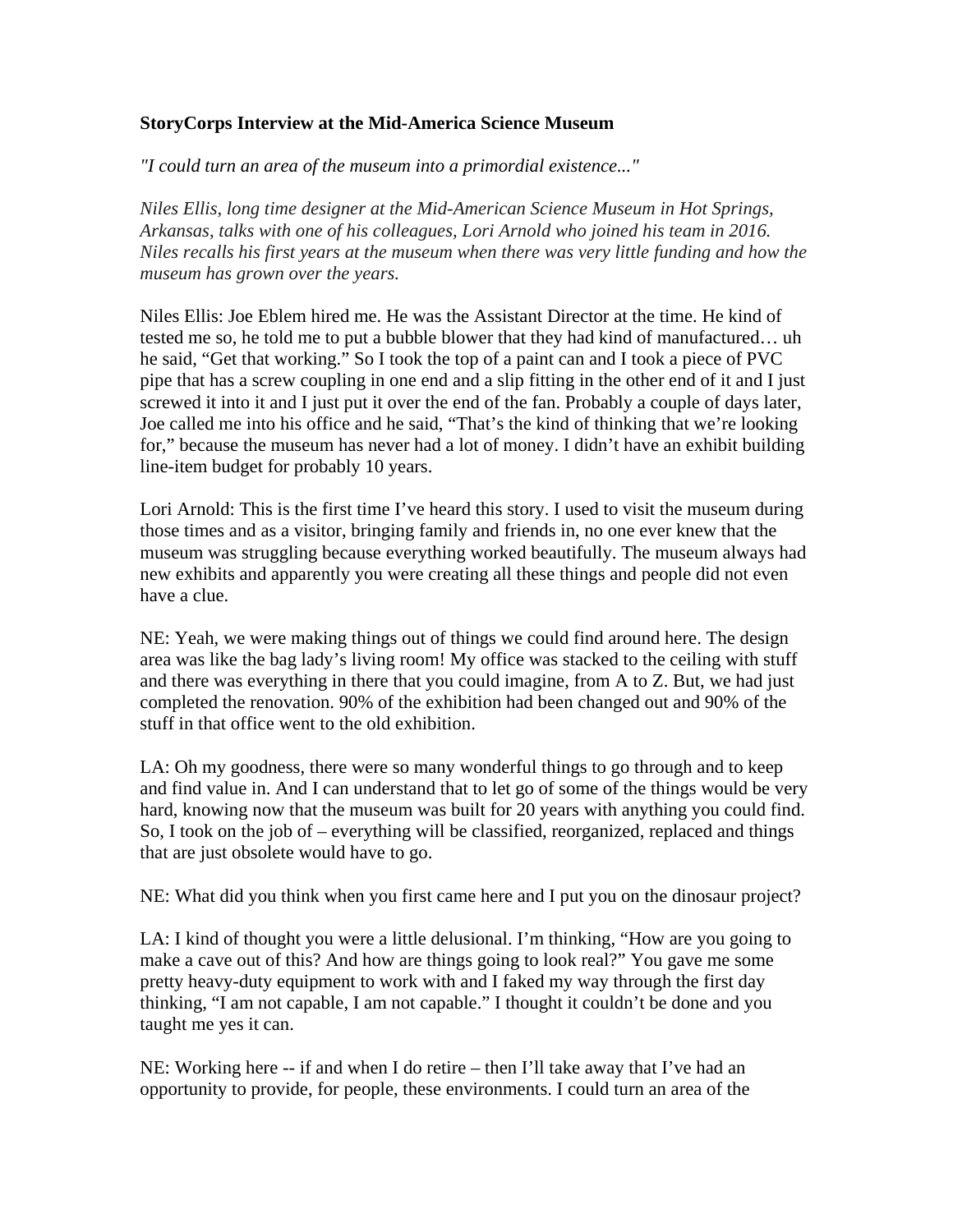## **StoryCorps Interview at the Mid-America Science Museum**

*"I could turn an area of the museum into a primordial existence..."*

*Niles Ellis, long time designer at the Mid-American Science Museum in Hot Springs, Arkansas, talks with one of his colleagues, Lori Arnold who joined his team in 2016. Niles recalls his first years at the museum when there was very little funding and how the museum has grown over the years.*

Niles Ellis: Joe Eblem hired me. He was the Assistant Director at the time. He kind of tested me so, he told me to put a bubble blower that they had kind of manufactured… uh he said, "Get that working." So I took the top of a paint can and I took a piece of PVC pipe that has a screw coupling in one end and a slip fitting in the other end of it and I just screwed it into it and I just put it over the end of the fan. Probably a couple of days later, Joe called me into his office and he said, "That's the kind of thinking that we're looking for," because the museum has never had a lot of money. I didn't have an exhibit building line-item budget for probably 10 years.

Lori Arnold: This is the first time I've heard this story. I used to visit the museum during those times and as a visitor, bringing family and friends in, no one ever knew that the museum was struggling because everything worked beautifully. The museum always had new exhibits and apparently you were creating all these things and people did not even have a clue.

NE: Yeah, we were making things out of things we could find around here. The design area was like the bag lady's living room! My office was stacked to the ceiling with stuff and there was everything in there that you could imagine, from A to Z. But, we had just completed the renovation. 90% of the exhibition had been changed out and 90% of the stuff in that office went to the old exhibition.

LA: Oh my goodness, there were so many wonderful things to go through and to keep and find value in. And I can understand that to let go of some of the things would be very hard, knowing now that the museum was built for 20 years with anything you could find. So, I took on the job of – everything will be classified, reorganized, replaced and things that are just obsolete would have to go.

NE: What did you think when you first came here and I put you on the dinosaur project?

LA: I kind of thought you were a little delusional. I'm thinking, "How are you going to make a cave out of this? And how are things going to look real?" You gave me some pretty heavy-duty equipment to work with and I faked my way through the first day thinking, "I am not capable, I am not capable." I thought it couldn't be done and you taught me yes it can.

NE: Working here -- if and when I do retire – then I'll take away that I've had an opportunity to provide, for people, these environments. I could turn an area of the